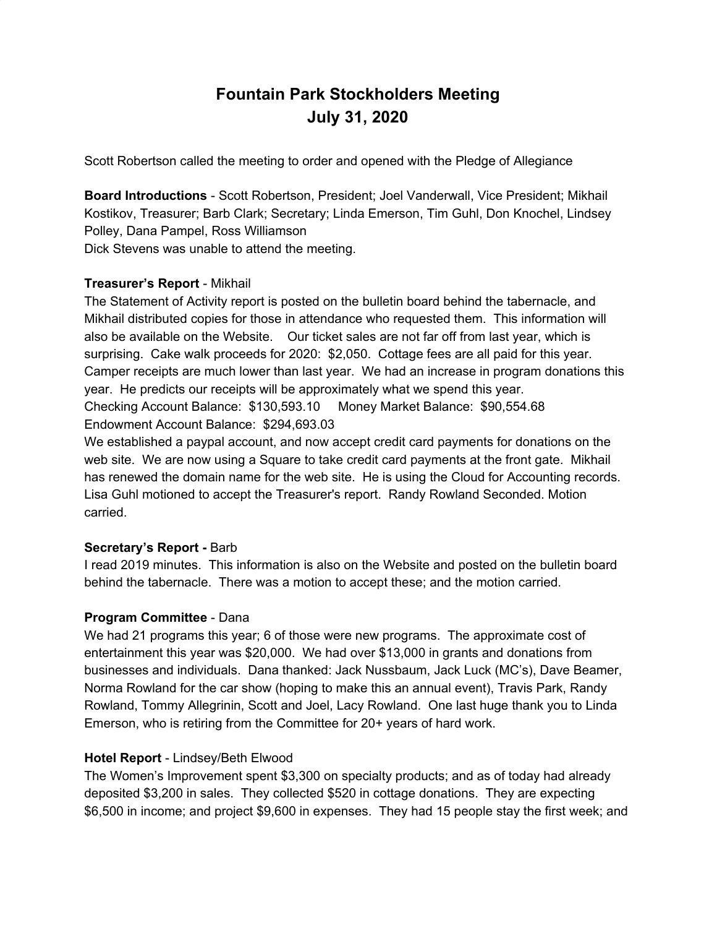# **Fountain Park Stockholders Meeting July 31, 2020**

Scott Robertson called the meeting to order and opened with the Pledge of Allegiance

**Board Introductions** - Scott Robertson, President; Joel Vanderwall, Vice President; Mikhail Kostikov, Treasurer; Barb Clark; Secretary; Linda Emerson, Tim Guhl, Don Knochel, Lindsey Polley, Dana Pampel, Ross Williamson Dick Stevens was unable to attend the meeting.

#### **Treasurer's Report** - Mikhail

The Statement of Activity report is posted on the bulletin board behind the tabernacle, and Mikhail distributed copies for those in attendance who requested them. This information will also be available on the Website. Our ticket sales are not far off from last year, which is surprising. Cake walk proceeds for 2020: \$2,050. Cottage fees are all paid for this year. Camper receipts are much lower than last year. We had an increase in program donations this year. He predicts our receipts will be approximately what we spend this year. Checking Account Balance: \$130,593.10 Money Market Balance: \$90,554.68 Endowment Account Balance: \$294,693.03

We established a paypal account, and now accept credit card payments for donations on the web site. We are now using a Square to take credit card payments at the front gate. Mikhail has renewed the domain name for the web site. He is using the Cloud for Accounting records. Lisa Guhl motioned to accept the Treasurer's report. Randy Rowland Seconded. Motion carried.

#### **Secretary's Report -** Barb

I read 2019 minutes. This information is also on the Website and posted on the bulletin board behind the tabernacle. There was a motion to accept these; and the motion carried.

#### **Program Committee** - Dana

We had 21 programs this year; 6 of those were new programs. The approximate cost of entertainment this year was \$20,000. We had over \$13,000 in grants and donations from businesses and individuals. Dana thanked: Jack Nussbaum, Jack Luck (MC's), Dave Beamer, Norma Rowland for the car show (hoping to make this an annual event), Travis Park, Randy Rowland, Tommy Allegrinin, Scott and Joel, Lacy Rowland. One last huge thank you to Linda Emerson, who is retiring from the Committee for 20+ years of hard work.

#### **Hotel Report** - Lindsey/Beth Elwood

The Women's Improvement spent \$3,300 on specialty products; and as of today had already deposited \$3,200 in sales. They collected \$520 in cottage donations. They are expecting \$6,500 in income; and project \$9,600 in expenses. They had 15 people stay the first week; and